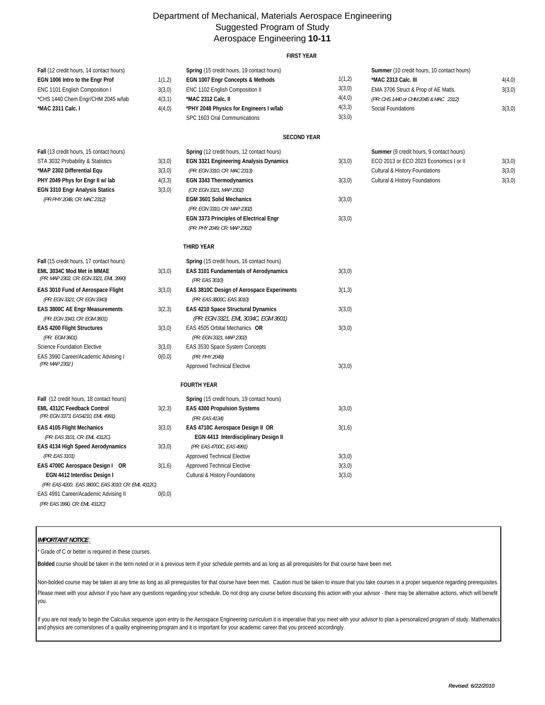## Department of Mechanical, Materials Aerospace Engineering Suggested Program of Study Aerospace Engineering **10-11**

## **FIRST YEAR**

| Fall (12 credit hours, 14 contact hours)           |        | Spring (15 credit hours, 19 contact hours)    |        | Summer (10 credit hours, 10 contact hours) |        |
|----------------------------------------------------|--------|-----------------------------------------------|--------|--------------------------------------------|--------|
| EGN 1006 Intro to the Engr Prof                    | 1(1,2) | EGN 1007 Engr Concepts & Methods              | 1(1,2) | *MAC 2313 Calc. III                        | 4(4,0) |
| ENC 1101 English Composition I                     | 3(3,0) | ENC 1102 English Composition II               | 3(3,0) | EMA 3706 Struct & Prop of AE Matls.        | 3(3,0) |
| *CHS 1440 Chem Engr/CHM 2045 w/lab                 | 4(3,1) | *MAC 2312 Calc. II                            | 4(4,0) | (PR: CHS 1440 or CHM 2045 & MAC 2312)      |        |
| *MAC 2311 Calc. I                                  | 4(4,0) | *PHY 2048 Physics for Engineers I w/lab       | 4(3,3) | Social Foundations                         | 3(3,0) |
|                                                    |        | SPC 1603 Oral Communications                  | 3(3,0) |                                            |        |
|                                                    |        |                                               |        |                                            |        |
|                                                    |        | <b>SECOND YEAR</b>                            |        |                                            |        |
| Fall (13 credit hours, 15 contact hours)           |        | Spring (12 credit hours, 12 contact hours)    |        | Summer (9 credit hours, 9 contact hours)   |        |
| STA 3032 Probability & Statistics                  | 3(3,0) | <b>EGN 3321 Engineering Analysis Dynamics</b> | 3(3,0) | ECO 2013 or ECO 2023 Economics I or II     | 3(3,0) |
| *MAP 2302 Differential Equ                         | 3(3,0) | (PR: EGN 3310, CR: MAC 2313)                  |        | Cultural & History Foundations             | 3(3,0) |
| PHY 2049 Phys for Engr II w/ lab                   | 4(3,3) | EGN 3343 Thermodynamics                       | 3(3,0) | Cultural & History Foundations             | 3(3,0) |
| <b>EGN 3310 Engr Analysis Statics</b>              | 3(3,0) | (CR: EGN 3321, MAP 2302)                      |        |                                            |        |
| (PR PHY 2048, CR: MAC 2312)                        |        | <b>EGM 3601 Solid Mechanics</b>               | 3(3,0) |                                            |        |
|                                                    |        | (PR: EGN 3310, CR: MAP 2302)                  |        |                                            |        |
|                                                    |        | EGN 3373 Principles of Electrical Engr        | 3(3,0) |                                            |        |
|                                                    |        | (PR: PHY 2049; CR: MAP 2302)                  |        |                                            |        |
|                                                    |        | THIRD YEAR                                    |        |                                            |        |
| Fall (15 credit hours, 17 contact hours)           |        | Spring (15 credit hours, 16 contact hours)    |        |                                            |        |
| EML 3034C Mod Met in MMAE                          | 3(3,0) | EAS 3101 Fundamentals of Aerodynamics         | 3(3,0) |                                            |        |
| (PR: MAP 2302, CR: EGN 3321, EML 3990)             |        | (PR: EAS 3010)                                |        |                                            |        |
| EAS 3010 Fund of Aerospace Flight                  | 3(3,0) | EAS 3810C Design of Aerospace Experiments     | 3(1,3) |                                            |        |
| (PR: EGN 3321; CR: EGN 3343)                       |        | (PR: EAS 3800C, EAS 3010)                     |        |                                            |        |
| EAS 3800C AE Engr Measurements                     | 3(2,3) | EAS 4210 Space Structural Dynamics            | 3(3,0) |                                            |        |
| (PR: EGN 3343, CR: EGM 3601)                       |        | (PR: EGN 3321, EML 3034C, EGM 3601)           |        |                                            |        |
| <b>EAS 4200 Flight Structures</b>                  | 3(3,0) | EAS 4505 Orbital Mechanics OR                 | 3(3,0) |                                            |        |
| (PR: EGM 3601)                                     |        | (PR: EGN 3321, MAP 2302)                      |        |                                            |        |
| Science Foundation Elective                        | 3(3,0) | EAS 3530 Space System Concepts                |        |                                            |        |
| EAS 3990 Career/Academic Advising I                | 0(0,0) | (PR: PHY 2049)                                |        |                                            |        |
| (PR: MAP 2302)                                     |        | Approved Technical Elective                   | 3(3,0) |                                            |        |
|                                                    |        | <b>FOURTH YEAR</b>                            |        |                                            |        |
| Fall (12 credit hours, 18 contact hours)           |        | Spring (15 credit hours, 19 contact hours)    |        |                                            |        |
| <b>EML 4312C Feedback Control</b>                  | 3(2,3) | <b>EAS 4300 Propulsion Systems</b>            | 3(3,0) |                                            |        |
| (PR: EGN 3373, EAS4210, EML 4991)                  |        | (PR: EAS 4134)                                |        |                                            |        |
| <b>EAS 4105 Flight Mechanics</b>                   | 3(3,0) | EAS 4710C Aerospace Design II OR              | 3(1,6) |                                            |        |
| (PR: EAS 3101, CR: EML 4312C)                      |        | EGN 4413 Interdisciplinary Design II          |        |                                            |        |
| EAS 4134 High Speed Aerodynamics                   | 3(3,0) | (PR: EAS 4700C, EAS 4991)                     |        |                                            |        |
| (PR: EAS 3101)                                     |        | Approved Technical Elective                   | 3(3,0) |                                            |        |
| EAS 4700C Aerospace Design I OR                    | 3(1,6) | Approved Technical Elective                   | 3(3,0) |                                            |        |
| EGN 4412 Interdisc Design I                        |        | Cultural & History Foundations                | 3(3,0) |                                            |        |
| (PR: EAS 4200, EAS 3800C, EAS 3010; CR: EML 4312C) |        |                                               |        |                                            |        |
| EAS 4991 Career/Academic Advising II               | 0(0,0) |                                               |        |                                            |        |
| (PR: EAS 3990, CR: EML 4312C)                      |        |                                               |        |                                            |        |

## *IMPORTANT NOTICE* :

<sup>'</sup> Grade of C or better is required in these courses.

**Bolded** course should be taken in the term noted or in a previous term if your schedule permits and as long as all prerequisites for that course have been met.

Non-bolded course may be taken at any time as long as all prerequisites for that course have been met. Caution must be taken to insure that you take courses in a proper sequence regarding prerequisites. Please meet with your advisor if you have any questions regarding your schedule. Do not drop any course before discussing this action with your advisor - there may be alternative actions, which will benefit you.

If you are not ready to begin the Calculus sequence upon entry to the Aerospace Engineering curriculum it is imperative that you meet with your advisor to plan a personalized program of study. Mathematics and physics are cornerstones of a quality engineering program and it is important for your academic career that you proceed accordingly.